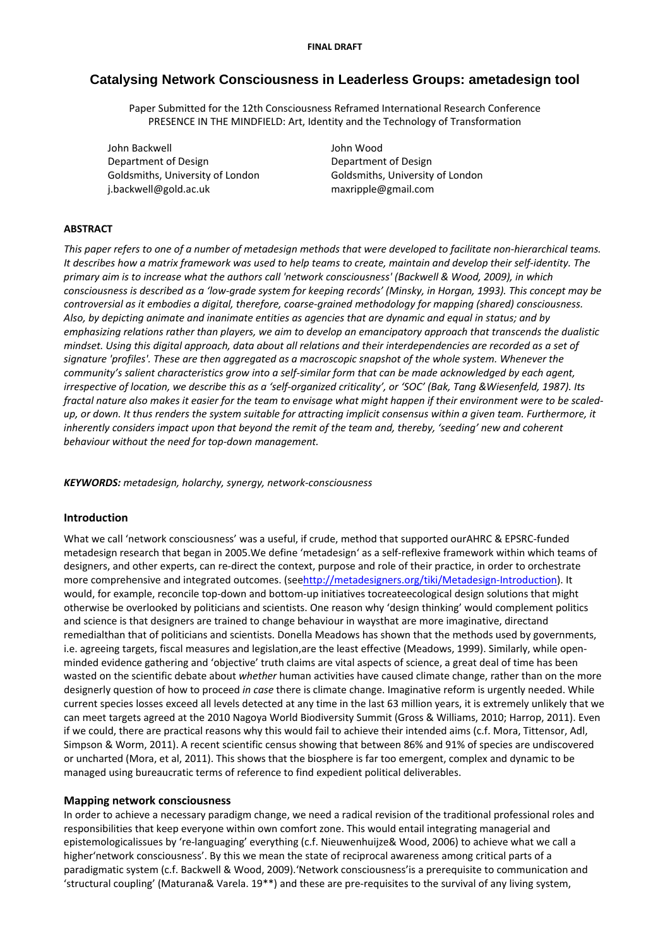# **Catalysing Network Consciousness in Leaderless Groups: ametadesign tool**

Paper Submitted for the 12th Consciousness Reframed International Research Conference PRESENCE IN THE MINDFIELD: Art, Identity and the Technology of Transformation

John Backwell John Wood Department of Design Department of Design Goldsmiths, University of London Goldsmiths, University of London j.backwell@gold.ac.uk maxripple@gmail.com

# **ABSTRACT**

This paper refers to one of a number of metadesign methods that were developed to facilitate non-hierarchical teams. It describes how a matrix framework was used to help teams to create, maintain and develop their self-identity. The primary aim is to increase what the authors call 'network consciousness' (Backwell & Wood, 2009), in which consciousness is described as a 'low-arade system for keeping records' (Minsky, in Horgan, 1993). This concept may be *controversial as it embodies a digital, therefore, coarse‐grained methodology for mapping (shared) consciousness.* Also, by depicting animate and inanimate entities as agencies that are dynamic and equal in status; and by emphasizing relations rather than players, we aim to develop an emancipatory approach that transcends the dualistic mindset. Using this digital approach, data about all relations and their interdependencies are recorded as a set of *signature 'profiles'. These are then aggregated as a macroscopic snapshot of the whole system. Whenever the* community's salient characteristics grow into a self-similar form that can be made acknowledged by each agent, irrespective of location, we describe this as a 'self-organized criticality', or 'SOC' (Bak, Tang & Wiesenfeld, 1987). Its fractal nature also makes it easier for the team to envisage what might happen if their environment were to be scaledup, or down. It thus renders the system suitable for attracting implicit consensus within a given team. Furthermore, it inherently considers impact upon that beyond the remit of the team and, thereby, 'seeding' new and coherent *behaviour without the need for top‐down management.*

*KEYWORDS: metadesign, holarchy, synergy, network‐consciousness*

# **Introduction**

What we call 'network consciousness' was a useful, if crude, method that supported ourAHRC & EPSRC‐funded metadesign research that began in 2005.We define 'metadesign' as a self‐reflexive framework within which teams of designers, and other experts, can re‐direct the context, purpose and role of their practice, in order to orchestrate more comprehensive and integrated outcomes. (seehttp://metadesigners.org/tiki/Metadesign-Introduction). It would, for example, reconcile top-down and bottom-up initiatives tocreateecological design solutions that might otherwise be overlooked by politicians and scientists. One reason why 'design thinking' would complement politics and science is that designers are trained to change behaviour in waysthat are more imaginative, directand remedialthan that of politicians and scientists. Donella Meadows has shown that the methods used by governments, i.e. agreeing targets, fiscal measures and legislation,are the least effective (Meadows, 1999). Similarly, while open‐ minded evidence gathering and 'objective' truth claims are vital aspects of science, a great deal of time has been wasted on the scientific debate about *whether* human activities have caused climate change, rather than on the more designerly question of how to proceed *in case* there is climate change. Imaginative reform is urgently needed. While current species losses exceed all levels detected at any time in the last 63 million years, it is extremely unlikely that we can meet targets agreed at the 2010 Nagoya World Biodiversity Summit (Gross & Williams, 2010; Harrop, 2011). Even if we could, there are practical reasons why this would fail to achieve their intended aims (c.f. Mora, Tittensor, Adl, Simpson & Worm, 2011). A recent scientific census showing that between 86% and 91% of species are undiscovered or uncharted (Mora, et al, 2011). This shows that the biosphere is far too emergent, complex and dynamic to be managed using bureaucratic terms of reference to find expedient political deliverables.

### **Mapping network consciousness**

In order to achieve a necessary paradigm change, we need a radical revision of the traditional professional roles and responsibilities that keep everyone within own comfort zone. This would entail integrating managerial and epistemologicalissues by 're‐languaging' everything (c.f. Nieuwenhuijze& Wood, 2006) to achieve what we call a higher'network consciousness'. By this we mean the state of reciprocal awareness among critical parts of a paradigmatic system (c.f. Backwell & Wood, 2009).'Network consciousness'is a prerequisite to communication and 'structural coupling' (Maturana& Varela. 19\*\*) and these are pre‐requisites to the survival of any living system,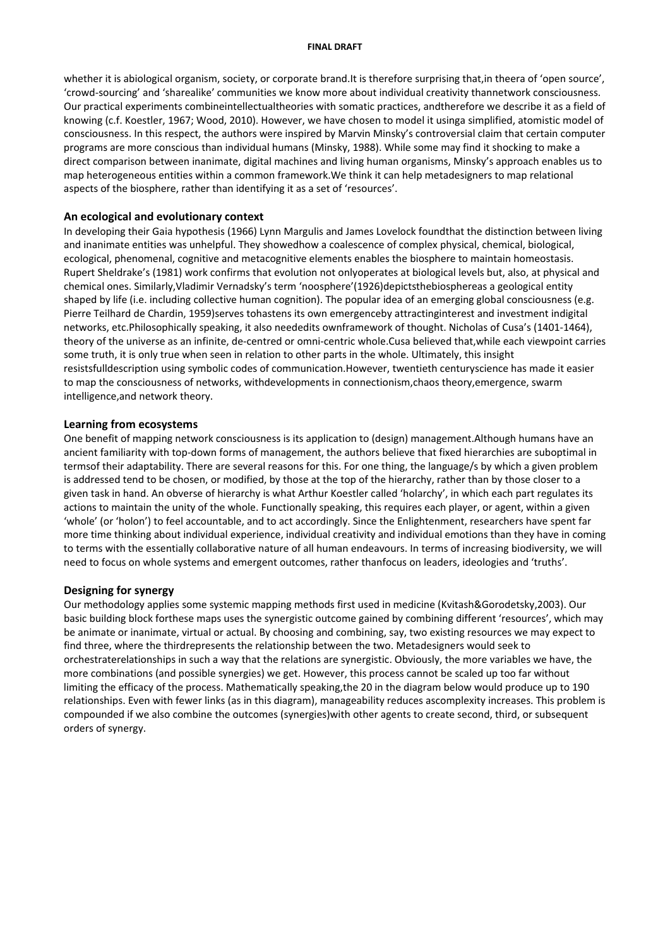#### **FINAL DRAFT**

whether it is abiological organism, society, or corporate brand.It is therefore surprising that,in theera of 'open source', 'crowd‐sourcing' and 'sharealike' communities we know more about individual creativity thannetwork consciousness. Our practical experiments combineintellectualtheories with somatic practices, andtherefore we describe it as a field of knowing (c.f. Koestler, 1967; Wood, 2010). However, we have chosen to model it usinga simplified, atomistic model of consciousness. In this respect, the authors were inspired by Marvin Minsky's controversial claim that certain computer programs are more conscious than individual humans (Minsky, 1988). While some may find it shocking to make a direct comparison between inanimate, digital machines and living human organisms, Minsky's approach enables us to map heterogeneous entities within a common framework.We think it can help metadesigners to map relational aspects of the biosphere, rather than identifying it as a set of 'resources'.

### **An ecological and evolutionary context**

In developing their Gaia hypothesis (1966) Lynn Margulis and James Lovelock foundthat the distinction between living and inanimate entities was unhelpful. They showedhow a coalescence of complex physical, chemical, biological, ecological, phenomenal, cognitive and metacognitive elements enables the biosphere to maintain homeostasis. Rupert Sheldrake's (1981) work confirms that evolution not onlyoperates at biological levels but, also, at physical and chemical ones. Similarly,Vladimir Vernadsky's term 'noosphere'(1926)depictsthebiosphereas a geological entity shaped by life (i.e. including collective human cognition). The popular idea of an emerging global consciousness (e.g. Pierre Teilhard de Chardin, 1959)serves tohastens its own emergenceby attractinginterest and investment indigital networks, etc.Philosophically speaking, it also neededits ownframework of thought. Nicholas of Cusa's (1401‐1464), theory of the universe as an infinite, de‐centred or omni‐centric whole.Cusa believed that,while each viewpoint carries some truth, it is only true when seen in relation to other parts in the whole. Ultimately, this insight resistsfulldescription using symbolic codes of communication.However, twentieth centuryscience has made it easier to map the consciousness of networks, withdevelopments in connectionism,chaos theory,emergence, swarm intelligence,and network theory.

#### **Learning from ecosystems**

One benefit of mapping network consciousness is its application to (design) management.Although humans have an ancient familiarity with top‐down forms of management, the authors believe that fixed hierarchies are suboptimal in termsof their adaptability. There are several reasons for this. For one thing, the language/s by which a given problem is addressed tend to be chosen, or modified, by those at the top of the hierarchy, rather than by those closer to a given task in hand. An obverse of hierarchy is what Arthur Koestler called 'holarchy', in which each part regulates its actions to maintain the unity of the whole. Functionally speaking, this requires each player, or agent, within a given 'whole' (or 'holon') to feel accountable, and to act accordingly. Since the Enlightenment, researchers have spent far more time thinking about individual experience, individual creativity and individual emotions than they have in coming to terms with the essentially collaborative nature of all human endeavours. In terms of increasing biodiversity, we will need to focus on whole systems and emergent outcomes, rather thanfocus on leaders, ideologies and 'truths'.

### **Designing for synergy**

Our methodology applies some systemic mapping methods first used in medicine (Kvitash&Gorodetsky,2003). Our basic building block forthese maps uses the synergistic outcome gained by combining different 'resources', which may be animate or inanimate, virtual or actual. By choosing and combining, say, two existing resources we may expect to find three, where the thirdrepresents the relationship between the two. Metadesigners would seek to orchestraterelationships in such a way that the relations are synergistic. Obviously, the more variables we have, the more combinations (and possible synergies) we get. However, this process cannot be scaled up too far without limiting the efficacy of the process. Mathematically speaking,the 20 in the diagram below would produce up to 190 relationships. Even with fewer links (as in this diagram), manageability reduces ascomplexity increases. This problem is compounded if we also combine the outcomes (synergies)with other agents to create second, third, or subsequent orders of synergy.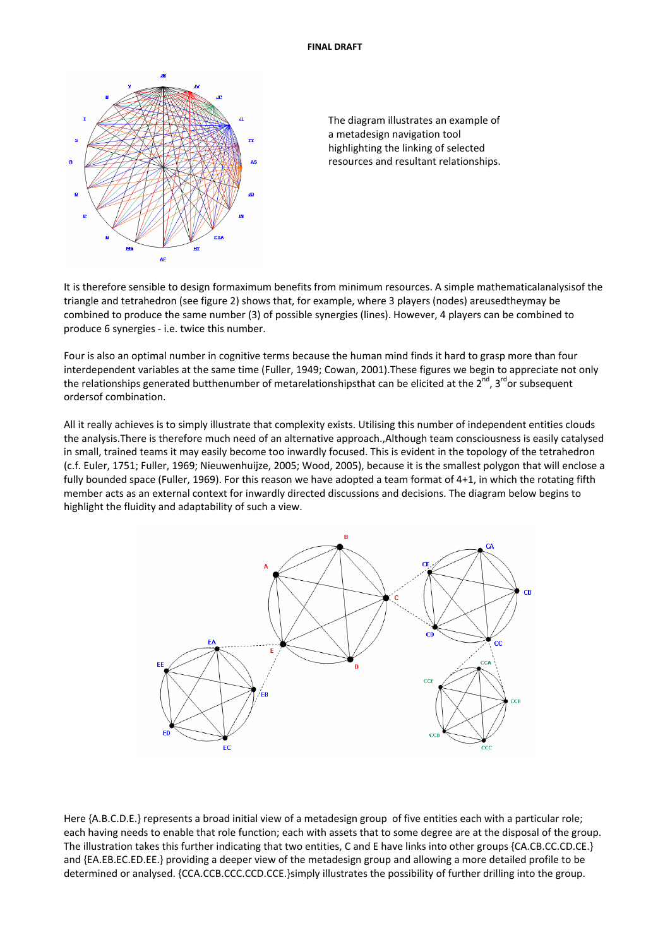



It is therefore sensible to design formaximum benefits from minimum resources. A simple mathematicalanalysisof the triangle and tetrahedron (see figure 2) shows that, for example, where 3 players (nodes) areusedtheymay be combined to produce the same number (3) of possible synergies (lines). However, 4 players can be combined to produce 6 synergies ‐ i.e. twice this number.

Four is also an optimal number in cognitive terms because the human mind finds it hard to grasp more than four interdependent variables at the same time (Fuller, 1949; Cowan, 2001).These figures we begin to appreciate not only the relationships generated butthenumber of metarelationshipsthat can be elicited at the  $2^{nd}$ ,  $3^{rd}$ or subsequent ordersof combination.

All it really achieves is to simply illustrate that complexity exists. Utilising this number of independent entities clouds the analysis.There is therefore much need of an alternative approach.,Although team consciousness is easily catalysed in small, trained teams it may easily become too inwardly focused. This is evident in the topology of the tetrahedron (c.f. Euler, 1751; Fuller, 1969; Nieuwenhuijze, 2005; Wood, 2005), because it is the smallest polygon that will enclose a fully bounded space (Fuller, 1969). For this reason we have adopted a team format of 4+1, in which the rotating fifth member acts as an external context for inwardly directed discussions and decisions. The diagram below begins to highlight the fluidity and adaptability of such a view.



Here {A.B.C.D.E.} represents a broad initial view of a metadesign group of five entities each with a particular role; each having needs to enable that role function; each with assets that to some degree are at the disposal of the group. The illustration takes this further indicating that two entities, C and E have links into other groups {CA.CB.CC.CD.CE.} and {EA.EB.EC.ED.EE.} providing a deeper view of the metadesign group and allowing a more detailed profile to be determined or analysed. {CCA.CCB.CCC.CCD.CCE.}simply illustrates the possibility of further drilling into the group.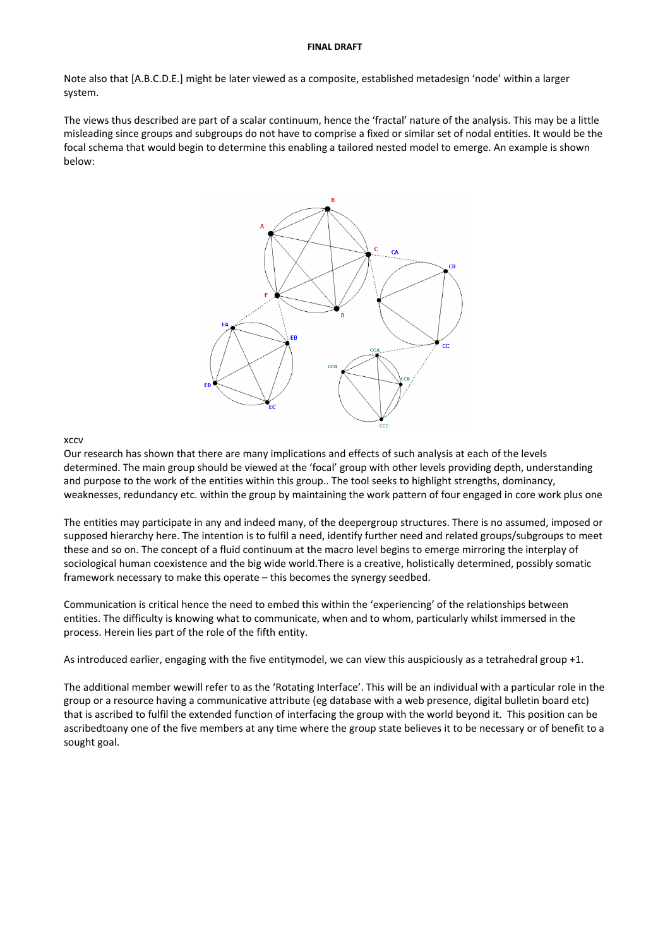#### **FINAL DRAFT**

Note also that [A.B.C.D.E.] might be later viewed as a composite, established metadesign 'node' within a larger system.

The views thus described are part of a scalar continuum, hence the 'fractal' nature of the analysis. This may be a little misleading since groups and subgroups do not have to comprise a fixed or similar set of nodal entities. It would be the focal schema that would begin to determine this enabling a tailored nested model to emerge. An example is shown below:



### xccv

Our research has shown that there are many implications and effects of such analysis at each of the levels determined. The main group should be viewed at the 'focal' group with other levels providing depth, understanding and purpose to the work of the entities within this group.. The tool seeks to highlight strengths, dominancy, weaknesses, redundancy etc. within the group by maintaining the work pattern of four engaged in core work plus one

The entities may participate in any and indeed many, of the deepergroup structures. There is no assumed, imposed or supposed hierarchy here. The intention is to fulfil a need, identify further need and related groups/subgroups to meet these and so on. The concept of a fluid continuum at the macro level begins to emerge mirroring the interplay of sociological human coexistence and the big wide world.There is a creative, holistically determined, possibly somatic framework necessary to make this operate – this becomes the synergy seedbed.

Communication is critical hence the need to embed this within the 'experiencing' of the relationships between entities. The difficulty is knowing what to communicate, when and to whom, particularly whilst immersed in the process. Herein lies part of the role of the fifth entity.

As introduced earlier, engaging with the five entitymodel, we can view this auspiciously as a tetrahedral group +1.

The additional member wewill refer to as the 'Rotating Interface'. This will be an individual with a particular role in the group or a resource having a communicative attribute (eg database with a web presence, digital bulletin board etc) that is ascribed to fulfil the extended function of interfacing the group with the world beyond it. This position can be ascribedtoany one of the five members at any time where the group state believes it to be necessary or of benefit to a sought goal.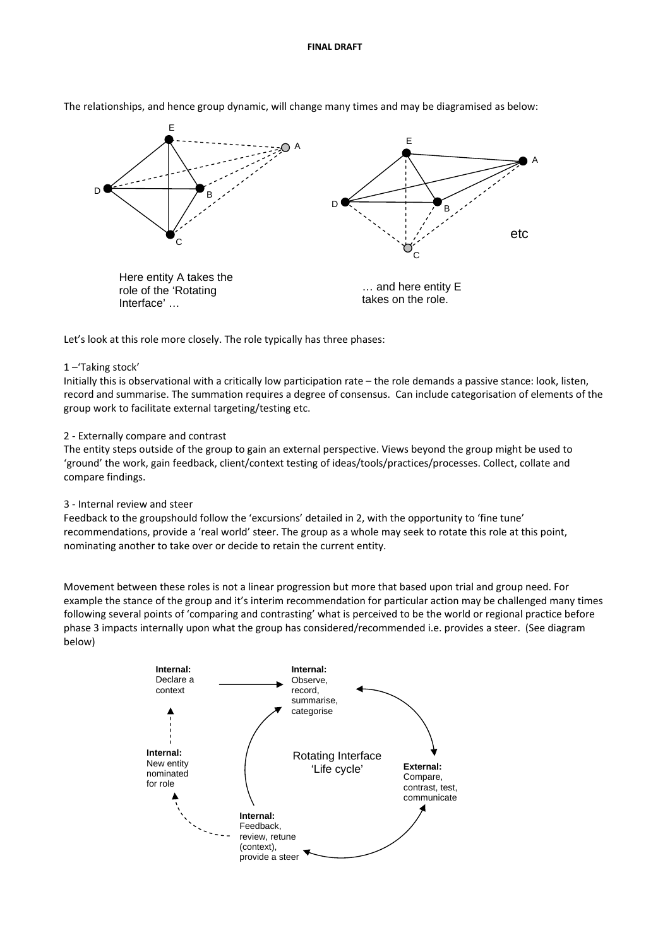

The relationships, and hence group dynamic, will change many times and may be diagramised as below:

Let's look at this role more closely. The role typically has three phases:

# 1 –'Taking stock'

Initially this is observational with a critically low participation rate – the role demands a passive stance: look, listen, record and summarise. The summation requires a degree of consensus. Can include categorisation of elements of the group work to facilitate external targeting/testing etc.

# 2 ‐ Externally compare and contrast

The entity steps outside of the group to gain an external perspective. Views beyond the group might be used to 'ground' the work, gain feedback, client/context testing of ideas/tools/practices/processes. Collect, collate and compare findings.

### 3 ‐ Internal review and steer

Feedback to the groupshould follow the 'excursions' detailed in 2, with the opportunity to 'fine tune' recommendations, provide a 'real world' steer. The group as a whole may seek to rotate this role at this point, nominating another to take over or decide to retain the current entity.

Movement between these roles is not a linear progression but more that based upon trial and group need. For example the stance of the group and it's interim recommendation for particular action may be challenged many times following several points of 'comparing and contrasting' what is perceived to be the world or regional practice before phase 3 impacts internally upon what the group has considered/recommended i.e. provides a steer. (See diagram below)

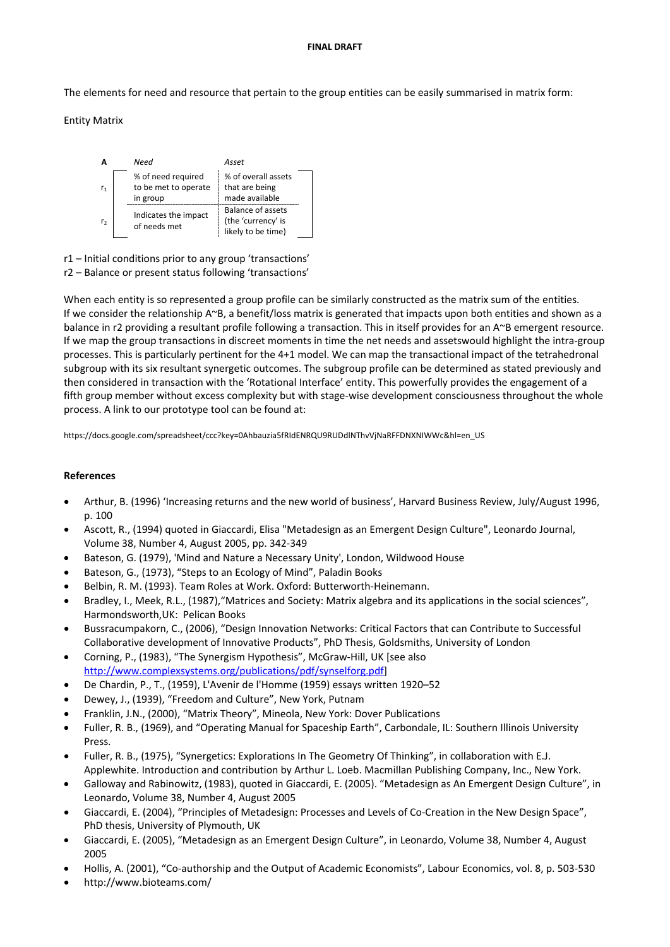The elements for need and resource that pertain to the group entities can be easily summarised in matrix form:

Entity Matrix



r1 – Initial conditions prior to any group 'transactions' r2 – Balance or present status following 'transactions'

When each entity is so represented a group profile can be similarly constructed as the matrix sum of the entities. If we consider the relationship A~B, a benefit/loss matrix is generated that impacts upon both entities and shown as a balance in r2 providing a resultant profile following a transaction. This in itself provides for an A~B emergent resource. If we map the group transactions in discreet moments in time the net needs and assetswould highlight the intra‐group processes. This is particularly pertinent for the 4+1 model. We can map the transactional impact of the tetrahedronal subgroup with its six resultant synergetic outcomes. The subgroup profile can be determined as stated previously and then considered in transaction with the 'Rotational Interface' entity. This powerfully provides the engagement of a fifth group member without excess complexity but with stage‐wise development consciousness throughout the whole process. A link to our prototype tool can be found at:

https://docs.google.com/spreadsheet/ccc?key=0Ahbauzia5fRIdENRQU9RUDdlNThvVjNaRFFDNXNIWWc&hl=en\_US

# **References**

- Arthur, B. (1996) 'Increasing returns and the new world of business', Harvard Business Review, July/August 1996, p. 100
- Ascott, R., (1994) quoted in Giaccardi, Elisa "Metadesign as an Emergent Design Culture", Leonardo Journal, Volume 38, Number 4, August 2005, pp. 342‐349
- Bateson, G. (1979), 'Mind and Nature a Necessary Unity', London, Wildwood House
- Bateson, G., (1973), "Steps to an Ecology of Mind", Paladin Books
- Belbin, R. M. (1993). Team Roles at Work. Oxford: Butterworth‐Heinemann.
- Bradley, I., Meek, R.L., (1987), "Matrices and Society: Matrix algebra and its applications in the social sciences", Harmondsworth,UK: Pelican Books
- Bussracumpakorn, C., (2006), "Design Innovation Networks: Critical Factors that can Contribute to Successful Collaborative development of Innovative Products", PhD Thesis, Goldsmiths, University of London
- Corning, P., (1983), "The Synergism Hypothesis", McGraw‐Hill, UK [see also http://www.complexsystems.org/publications/pdf/synselforg.pdf]
- De Chardin, P., T., (1959), L'Avenir de l'Homme (1959) essays written 1920–52
- Dewey, J., (1939), "Freedom and Culture", New York, Putnam
- Franklin, J.N., (2000), "Matrix Theory", Mineola, New York: Dover Publications
- Fuller, R. B., (1969), and "Operating Manual for Spaceship Earth", Carbondale, IL: Southern Illinois University Press.
- Fuller, R. B., (1975), "Synergetics: Explorations In The Geometry Of Thinking", in collaboration with E.J. Applewhite. Introduction and contribution by Arthur L. Loeb. Macmillan Publishing Company, Inc., New York.
- Galloway and Rabinowitz, (1983), quoted in Giaccardi, E. (2005). "Metadesign as An Emergent Design Culture", in Leonardo, Volume 38, Number 4, August 2005
- Giaccardi, E. (2004), "Principles of Metadesign: Processes and Levels of Co‐Creation in the New Design Space", PhD thesis, University of Plymouth, UK
- Giaccardi, E. (2005), "Metadesign as an Emergent Design Culture", in Leonardo, Volume 38, Number 4, August 2005
- Hollis, A. (2001), "Co‐authorship and the Output of Academic Economists", Labour Economics, vol. 8, p. 503‐530
- http://www.bioteams.com/